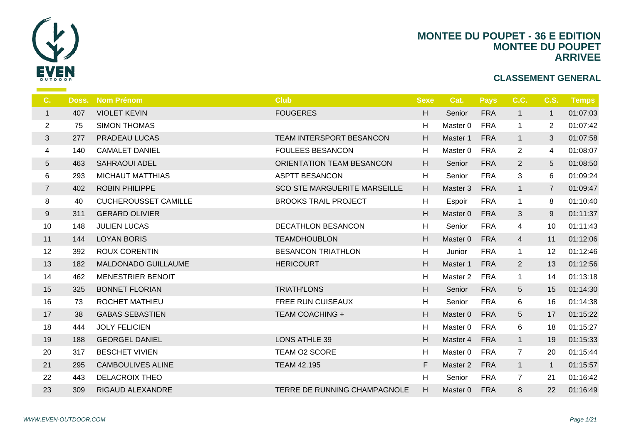

| C.             | Doss. | <b>Nom Prénom</b>           | <b>Club</b>                         | <b>Sexe</b> | -C             |
|----------------|-------|-----------------------------|-------------------------------------|-------------|----------------|
| $\mathbf{1}$   | 407   | <b>VIOLET KEVIN</b>         | <b>FOUGERES</b>                     | H           | S <sub>6</sub> |
| $\overline{2}$ | 75    | <b>SIMON THOMAS</b>         |                                     | H           | Ma             |
| 3              | 277   | PRADEAU LUCAS               | TEAM INTERSPORT BESANCON            | H           | Ma             |
| 4              | 140   | <b>CAMALET DANIEL</b>       | <b>FOULEES BESANCON</b>             | H           | Ma             |
| 5              | 463   | <b>SAHRAOUI ADEL</b>        | ORIENTATION TEAM BESANCON           | H           | S6             |
| 6              | 293   | <b>MICHAUT MATTHIAS</b>     | <b>ASPTT BESANCON</b>               | H           | S <sub>d</sub> |
| $\overline{7}$ | 402   | <b>ROBIN PHILIPPE</b>       | <b>SCO STE MARGUERITE MARSEILLE</b> | H           | Ma             |
| 8              | 40    | <b>CUCHEROUSSET CAMILLE</b> | <b>BROOKS TRAIL PROJECT</b>         | H           | Es             |
| 9              | 311   | <b>GERARD OLIVIER</b>       |                                     | H           | Ma             |
| 10             | 148   | <b>JULIEN LUCAS</b>         | <b>DECATHLON BESANCON</b>           | H           | S <sub>d</sub> |
| 11             | 144   | <b>LOYAN BORIS</b>          | <b>TEAMDHOUBLON</b>                 | H           | Ma             |
| 12             | 392   | <b>ROUX CORENTIN</b>        | <b>BESANCON TRIATHLON</b>           | H           | Ju             |
| 13             | 182   | <b>MALDONADO GUILLAUME</b>  | <b>HERICOURT</b>                    | H           | Ma             |
| 14             | 462   | <b>MENESTRIER BENOIT</b>    |                                     | H           | Ma             |
| 15             | 325   | <b>BONNET FLORIAN</b>       | <b>TRIATH'LONS</b>                  | H.          | S <sub>d</sub> |
| 16             | 73    | ROCHET MATHIEU              | FREE RUN CUISEAUX                   | H           | S <sub>d</sub> |
| 17             | 38    | <b>GABAS SEBASTIEN</b>      | <b>TEAM COACHING +</b>              | H           | Ma             |
| 18             | 444   | <b>JOLY FELICIEN</b>        |                                     | H           | Ma             |
| 19             | 188   | <b>GEORGEL DANIEL</b>       | <b>LONS ATHLE 39</b>                | H           | Ma             |
| 20             | 317   | <b>BESCHET VIVIEN</b>       | TEAM O2 SCORE                       | H           | Ma             |
| 21             | 295   | <b>CAMBOULIVES ALINE</b>    | <b>TEAM 42.195</b>                  | F.          | Ma             |
| 22             | 443   | <b>DELACROIX THEO</b>       |                                     | H           | $S_{\epsilon}$ |
| 23             | 309   | <b>RIGAUD ALEXANDRE</b>     | TERRE DE RUNNING CHAMPAGNOLE        | H           | Mas            |
|                |       |                             |                                     |             |                |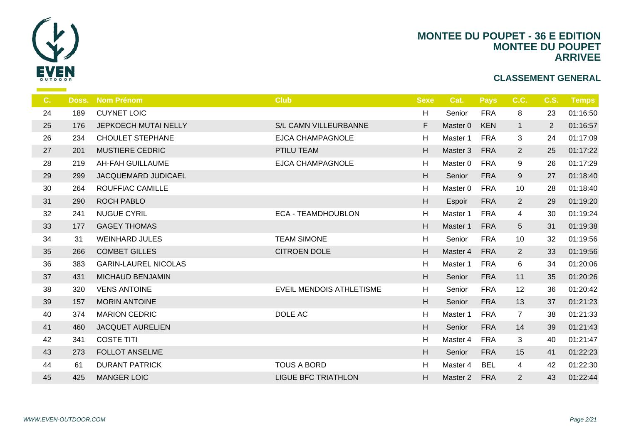

| $C_{1}$ | Doss. | <b>Nom Prénom</b>           | <b>Club</b>                     | <b>Sexe</b>               |                |
|---------|-------|-----------------------------|---------------------------------|---------------------------|----------------|
| 24      | 189   | <b>CUYNET LOIC</b>          |                                 | H                         | $S_6$          |
| 25      | 176   | JEPKOECH MUTAI NELLY        | S/L CAMN VILLEURBANNE           | F                         | Ma             |
| 26      | 234   | <b>CHOULET STEPHANE</b>     | <b>EJCA CHAMPAGNOLE</b>         | H                         | Ma             |
| 27      | 201   | <b>MUSTIERE CEDRIC</b>      | PTILU TEAM                      | H                         | Ma             |
| 28      | 219   | <b>AH-FAH GUILLAUME</b>     | <b>EJCA CHAMPAGNOLE</b>         | H                         | Ma             |
| 29      | 299   | JACQUEMARD JUDICAEL         |                                 | H                         | S <sub>6</sub> |
| 30      | 264   | ROUFFIAC CAMILLE            |                                 | H                         | Ma             |
| 31      | 290   | <b>ROCH PABLO</b>           |                                 | $\boldsymbol{\mathsf{H}}$ | Es             |
| 32      | 241   | <b>NUGUE CYRIL</b>          | <b>ECA - TEAMDHOUBLON</b>       | H                         | Ma             |
| 33      | 177   | <b>GAGEY THOMAS</b>         |                                 | H                         | Ma             |
| 34      | 31    | <b>WEINHARD JULES</b>       | <b>TEAM SIMONE</b>              | H                         | S <sub>6</sub> |
| 35      | 266   | <b>COMBET GILLES</b>        | <b>CITROEN DOLE</b>             | H                         | Ma             |
| 36      | 383   | <b>GARIN-LAUREL NICOLAS</b> |                                 | H                         | Ma             |
| 37      | 431   | <b>MICHAUD BENJAMIN</b>     |                                 | H                         | S <sub>6</sub> |
| 38      | 320   | <b>VENS ANTOINE</b>         | <b>EVEIL MENDOIS ATHLETISME</b> | H                         | $S_6$          |
| 39      | 157   | <b>MORIN ANTOINE</b>        |                                 | H                         | $S_6$          |
| 40      | 374   | <b>MARION CEDRIC</b>        | DOLE AC                         | H                         | Ma             |
| 41      | 460   | <b>JACQUET AURELIEN</b>     |                                 | H                         | $S_6$          |
| 42      | 341   | <b>COSTE TITI</b>           |                                 | H                         | Ma             |
| 43      | 273   | <b>FOLLOT ANSELME</b>       |                                 | H                         | S <sub>6</sub> |
| 44      | 61    | <b>DURANT PATRICK</b>       | <b>TOUS A BORD</b>              | H                         | Ma             |
| 45      | 425   | <b>MANGER LOIC</b>          | <b>LIGUE BFC TRIATHLON</b>      | H                         | Ma             |
|         |       |                             |                                 |                           |                |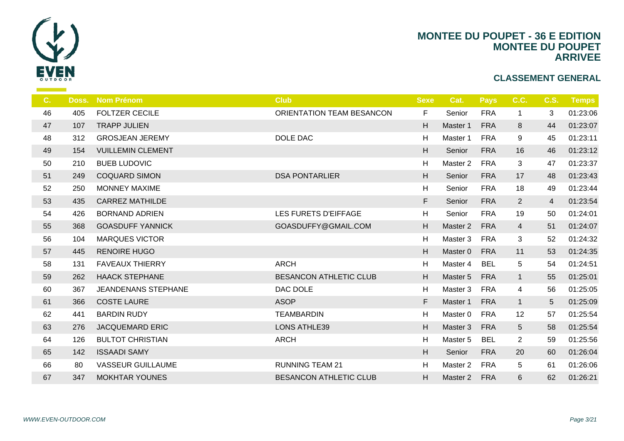

| C. | Doss. | <b>Nom Prénom</b>          | <b>Club</b>                   | <b>Sexe</b> | -C               |
|----|-------|----------------------------|-------------------------------|-------------|------------------|
| 46 | 405   | <b>FOLTZER CECILE</b>      | ORIENTATION TEAM BESANCON     | F           | S <sub>d</sub>   |
| 47 | 107   | <b>TRAPP JULIEN</b>        |                               | H           | Ma               |
| 48 | 312   | <b>GROSJEAN JEREMY</b>     | DOLE DAC                      | H           | Ma               |
| 49 | 154   | <b>VUILLEMIN CLEMENT</b>   |                               | H           | S <sub>6</sub>   |
| 50 | 210   | <b>BUEB LUDOVIC</b>        |                               | H           | Ma               |
| 51 | 249   | <b>COQUARD SIMON</b>       | <b>DSA PONTARLIER</b>         | H           | S6               |
| 52 | 250   | <b>MONNEY MAXIME</b>       |                               | H           | $S_{\mathsf{G}}$ |
| 53 | 435   | <b>CARREZ MATHILDE</b>     |                               | F.          | S <sub>6</sub>   |
| 54 | 426   | <b>BORNAND ADRIEN</b>      | LES FURETS D'EIFFAGE          | H           | S <sub>d</sub>   |
| 55 | 368   | <b>GOASDUFF YANNICK</b>    | GOASDUFFY@GMAIL.COM           | H           | Ma:              |
| 56 | 104   | <b>MARQUES VICTOR</b>      |                               | H           | Ma               |
| 57 | 445   | <b>RENOIRE HUGO</b>        |                               | H           | Ma               |
| 58 | 131   | <b>FAVEAUX THIERRY</b>     | <b>ARCH</b>                   | H           | Ma               |
| 59 | 262   | <b>HAACK STEPHANE</b>      | <b>BESANCON ATHLETIC CLUB</b> | H           | Ma:              |
| 60 | 367   | <b>JEANDENANS STEPHANE</b> | DAC DOLE                      | H           | Ma               |
| 61 | 366   | <b>COSTE LAURE</b>         | <b>ASOP</b>                   | F           | Ma:              |
| 62 | 441   | <b>BARDIN RUDY</b>         | <b>TEAMBARDIN</b>             | H           | Ma               |
| 63 | 276   | <b>JACQUEMARD ERIC</b>     | <b>LONS ATHLE39</b>           | H           | Ma               |
| 64 | 126   | <b>BULTOT CHRISTIAN</b>    | <b>ARCH</b>                   | H           | Ma               |
| 65 | 142   | <b>ISSAADI SAMY</b>        |                               | H           | S <sub>6</sub>   |
| 66 | 80    | <b>VASSEUR GUILLAUME</b>   | <b>RUNNING TEAM 21</b>        | H           | Ma               |
| 67 | 347   | <b>MOKHTAR YOUNES</b>      | <b>BESANCON ATHLETIC CLUB</b> | H.          | Mas              |
|    |       |                            |                               |             |                  |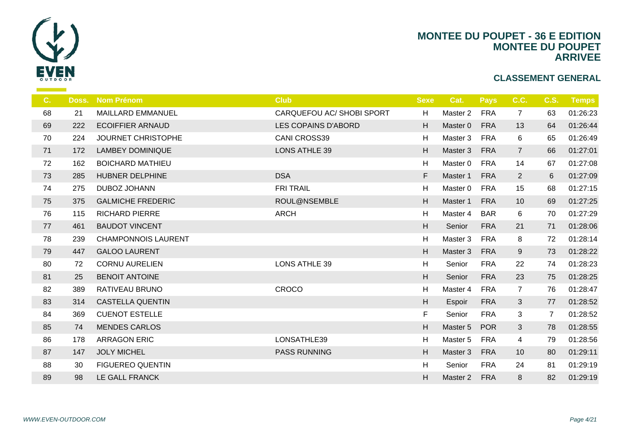

| $C_{\cdot}$ | Doss. | <b>Nom Prénom</b>          | <b>Club</b>               | <b>Sexe</b>               |                |
|-------------|-------|----------------------------|---------------------------|---------------------------|----------------|
| 68          | 21    | <b>MAILLARD EMMANUEL</b>   | CARQUEFOU AC/ SHOBI SPORT | H                         | Ma             |
| 69          | 222   | <b>ECOIFFIER ARNAUD</b>    | LES COPAINS D'ABORD       | H                         | Ma             |
| 70          | 224   | <b>JOURNET CHRISTOPHE</b>  | <b>CANI CROSS39</b>       | H                         | Ma             |
| 71          | 172   | <b>LAMBEY DOMINIQUE</b>    | <b>LONS ATHLE 39</b>      | H                         | Ma             |
| 72          | 162   | <b>BOICHARD MATHIEU</b>    |                           | H                         | Ma             |
| 73          | 285   | HUBNER DELPHINE            | <b>DSA</b>                | F                         | Ma             |
| 74          | 275   | DUBOZ JOHANN               | <b>FRI TRAIL</b>          | H                         | Ma             |
| 75          | 375   | <b>GALMICHE FREDERIC</b>   | ROUL@NSEMBLE              | H                         | Ma             |
| 76          | 115   | <b>RICHARD PIERRE</b>      | <b>ARCH</b>               | H                         | Ma             |
| 77          | 461   | <b>BAUDOT VINCENT</b>      |                           | H                         | S <sub>6</sub> |
| 78          | 239   | <b>CHAMPONNOIS LAURENT</b> |                           | H                         | Ma             |
| 79          | 447   | <b>GALOO LAURENT</b>       |                           | H                         | Ma             |
| 80          | 72    | <b>CORNU AURELIEN</b>      | <b>LONS ATHLE 39</b>      | H                         | S6             |
| 81          | 25    | <b>BENOIT ANTOINE</b>      |                           | $\boldsymbol{\mathsf{H}}$ | S <sub>6</sub> |
| 82          | 389   | RATIVEAU BRUNO             | CROCO                     | H                         | Ma             |
| 83          | 314   | <b>CASTELLA QUENTIN</b>    |                           | H                         | Es             |
| 84          | 369   | <b>CUENOT ESTELLE</b>      |                           | F.                        | S <sub>6</sub> |
| 85          | 74    | <b>MENDES CARLOS</b>       |                           | $\boldsymbol{\mathsf{H}}$ | Ma             |
| 86          | 178   | <b>ARRAGON ERIC</b>        | LONSATHLE39               | H                         | Ma             |
| 87          | 147   | <b>JOLY MICHEL</b>         | <b>PASS RUNNING</b>       | H                         | Ma             |
| 88          | 30    | <b>FIGUEREO QUENTIN</b>    |                           | H                         | S6             |
| 89          | 98    | LE GALL FRANCK             |                           | H                         | Ma             |
|             |       |                            |                           |                           |                |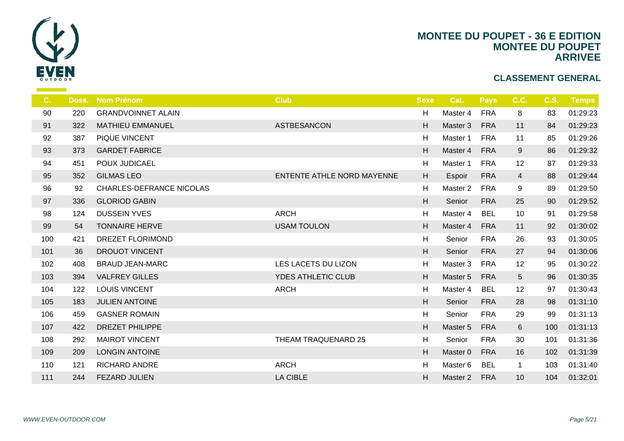

| C.  | Doss. | <b>Nom Prénom</b>         | <b>Club</b>                | <b>Sexe</b>               |                |
|-----|-------|---------------------------|----------------------------|---------------------------|----------------|
| 90  | 220   | <b>GRANDVOINNET ALAIN</b> |                            | H                         | Ma             |
| 91  | 322   | <b>MATHIEU EMMANUEL</b>   | ASTBESANCON                | H                         | Ma             |
| 92  | 387   | PIQUE VINCENT             |                            | H                         | Ma             |
| 93  | 373   | <b>GARDET FABRICE</b>     |                            | H                         | Ma             |
| 94  | 451   | POUX JUDICAEL             |                            | H                         | Ma             |
| 95  | 352   | <b>GILMAS LEO</b>         | ENTENTE ATHLE NORD MAYENNE | $\boldsymbol{\mathsf{H}}$ | Es             |
| 96  | 92    | CHARLES-DEFRANCE NICOLAS  |                            | H                         | Ma             |
| 97  | 336   | <b>GLORIOD GABIN</b>      |                            | H                         | S <sub>6</sub> |
| 98  | 124   | <b>DUSSEIN YVES</b>       | <b>ARCH</b>                | H                         | Ma             |
| 99  | 54    | <b>TONNAIRE HERVE</b>     | <b>USAM TOULON</b>         | H                         | Ma             |
| 100 | 421   | <b>DREZET FLORIMOND</b>   |                            | H                         | $S_{\epsilon}$ |
| 101 | 36    | <b>DROUOT VINCENT</b>     |                            | $\boldsymbol{\mathsf{H}}$ | S <sub>6</sub> |
| 102 | 408   | <b>BRAUD JEAN-MARC</b>    | LES LACETS DU LIZON        | H                         | Ma             |
| 103 | 394   | <b>VALFREY GILLES</b>     | <b>YDES ATHLETIC CLUB</b>  | H                         | Ma             |
| 104 | 122   | <b>LOUIS VINCENT</b>      | <b>ARCH</b>                | H                         | Ma             |
| 105 | 183   | <b>JULIEN ANTOINE</b>     |                            | H                         | S <sub>6</sub> |
| 106 | 459   | <b>GASNER ROMAIN</b>      |                            | H                         | $S_6$          |
| 107 | 422   | <b>DREZET PHILIPPE</b>    |                            | H                         | Ma             |
| 108 | 292   | <b>MAIROT VINCENT</b>     | THEAM TRAQUENARD 25        | $\boldsymbol{\mathsf{H}}$ | S6             |
| 109 | 209   | <b>LONGIN ANTOINE</b>     |                            | H                         | Ma             |
| 110 | 121   | <b>RICHARD ANDRE</b>      | <b>ARCH</b>                | H                         | Ma             |
| 111 | 244   | <b>FEZARD JULIEN</b>      | <b>LA CIBLE</b>            | H                         | Ma             |
|     |       |                           |                            |                           |                |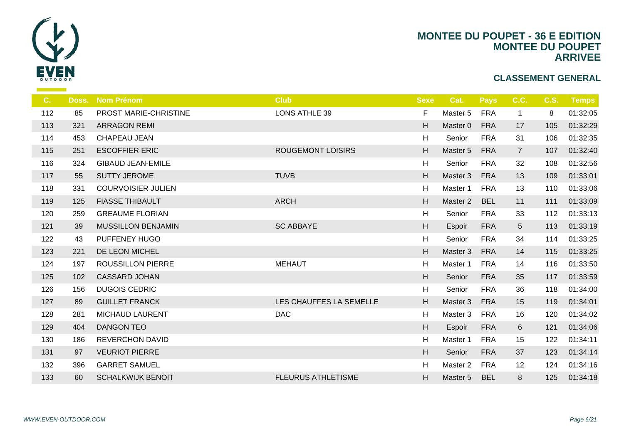

| C.  | Doss. | <b>Nom Prénom</b>         | <b>Club</b>               | <b>Sexe</b>               |                |
|-----|-------|---------------------------|---------------------------|---------------------------|----------------|
| 112 | 85    | PROST MARIE-CHRISTINE     | <b>LONS ATHLE 39</b>      | F                         | Ma             |
| 113 | 321   | <b>ARRAGON REMI</b>       |                           | H                         | Ma             |
| 114 | 453   | CHAPEAU JEAN              |                           | H                         | S <sub>6</sub> |
| 115 | 251   | <b>ESCOFFIER ERIC</b>     | <b>ROUGEMONT LOISIRS</b>  | H                         | Ma             |
| 116 | 324   | <b>GIBAUD JEAN-EMILE</b>  |                           | H                         | S6             |
| 117 | 55    | <b>SUTTY JEROME</b>       | <b>TUVB</b>               | H                         | Ma             |
| 118 | 331   | <b>COURVOISIER JULIEN</b> |                           | H                         | Ma             |
| 119 | 125   | <b>FIASSE THIBAULT</b>    | <b>ARCH</b>               | H.                        | Ma             |
| 120 | 259   | <b>GREAUME FLORIAN</b>    |                           | H                         | S6             |
| 121 | 39    | <b>MUSSILLON BENJAMIN</b> | <b>SC ABBAYE</b>          | H.                        | Es             |
| 122 | 43    | PUFFENEY HUGO             |                           | H                         | S <sub>6</sub> |
| 123 | 221   | DE LEON MICHEL            |                           | H                         | Ma             |
| 124 | 197   | ROUSSILLON PIERRE         | <b>MEHAUT</b>             | H                         | Ma             |
| 125 | 102   | <b>CASSARD JOHAN</b>      |                           | $\boldsymbol{\mathsf{H}}$ | S <sub>6</sub> |
| 126 | 156   | <b>DUGOIS CEDRIC</b>      |                           | H                         | S6             |
| 127 | 89    | <b>GUILLET FRANCK</b>     | LES CHAUFFES LA SEMELLE   | H                         | Ma             |
| 128 | 281   | <b>MICHAUD LAURENT</b>    | <b>DAC</b>                | H                         | Ma             |
| 129 | 404   | <b>DANGON TEO</b>         |                           | H                         | Es             |
| 130 | 186   | <b>REVERCHON DAVID</b>    |                           | H                         | Ma             |
| 131 | 97    | <b>VEURIOT PIERRE</b>     |                           | H                         | S <sub>6</sub> |
| 132 | 396   | <b>GARRET SAMUEL</b>      |                           | H                         | Ma             |
| 133 | 60    | <b>SCHALKWIJK BENOIT</b>  | <b>FLEURUS ATHLETISME</b> | H.                        | Ma             |
|     |       |                           |                           |                           |                |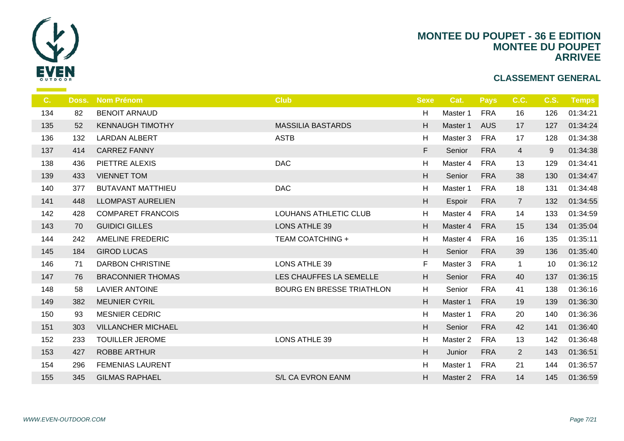

| C.  | Doss. | <b>Nom Prénom</b>         | <b>Club</b>                      | <b>Sexe</b> |                |
|-----|-------|---------------------------|----------------------------------|-------------|----------------|
| 134 | 82    | <b>BENOIT ARNAUD</b>      |                                  | H           | Ma             |
| 135 | 52    | <b>KENNAUGH TIMOTHY</b>   | <b>MASSILIA BASTARDS</b>         | H           | Ma             |
| 136 | 132   | <b>LARDAN ALBERT</b>      | <b>ASTB</b>                      | H           | Ma             |
| 137 | 414   | <b>CARREZ FANNY</b>       |                                  | F           | S <sub>6</sub> |
| 138 | 436   | PIETTRE ALEXIS            | <b>DAC</b>                       | H           | Ma             |
| 139 | 433   | <b>VIENNET TOM</b>        |                                  | H           | S <sub>6</sub> |
| 140 | 377   | <b>BUTAVANT MATTHIEU</b>  | <b>DAC</b>                       | H           | Ma             |
| 141 | 448   | <b>LLOMPAST AURELIEN</b>  |                                  | H           | Es             |
| 142 | 428   | <b>COMPARET FRANCOIS</b>  | <b>LOUHANS ATHLETIC CLUB</b>     | H           | Ma             |
| 143 | 70    | <b>GUIDICI GILLES</b>     | <b>LONS ATHLE 39</b>             | H           | Ma             |
| 144 | 242   | <b>AMELINE FREDERIC</b>   | <b>TEAM COATCHING +</b>          | H           | Ma             |
| 145 | 184   | <b>GIROD LUCAS</b>        |                                  | H           | S <sub>6</sub> |
| 146 | 71    | <b>DARBON CHRISTINE</b>   | <b>LONS ATHLE 39</b>             | F.          | Ma             |
| 147 | 76    | <b>BRACONNIER THOMAS</b>  | LES CHAUFFES LA SEMELLE          | H.          | S <sub>6</sub> |
| 148 | 58    | <b>LAVIER ANTOINE</b>     | <b>BOURG EN BRESSE TRIATHLON</b> | H.          | S <sub>6</sub> |
| 149 | 382   | <b>MEUNIER CYRIL</b>      |                                  | H           | Ma             |
| 150 | 93    | <b>MESNIER CEDRIC</b>     |                                  | H           | Ma             |
| 151 | 303   | <b>VILLANCHER MICHAEL</b> |                                  | H.          | S <sub>6</sub> |
| 152 | 233   | <b>TOUILLER JEROME</b>    | <b>LONS ATHLE 39</b>             | H           | Ma             |
| 153 | 427   | <b>ROBBE ARTHUR</b>       |                                  | H           | Ju             |
| 154 | 296   | <b>FEMENIAS LAURENT</b>   |                                  | H           | Ma             |
| 155 | 345   | <b>GILMAS RAPHAEL</b>     | S/L CA EVRON EANM                | H           | Ma             |
|     |       |                           |                                  |             |                |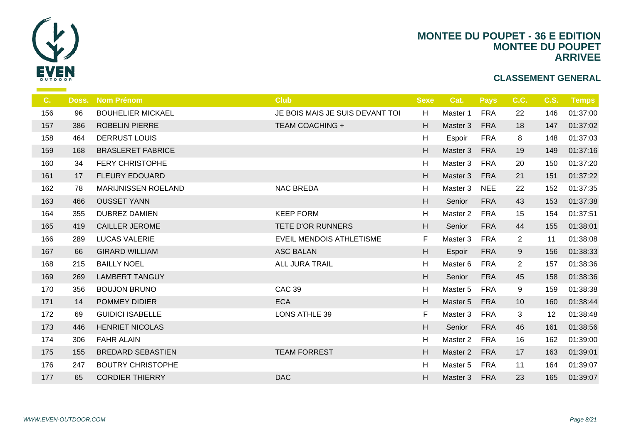

| C.  | Doss. | <b>Nom Prénom</b>          | <b>Club</b>                     | <b>Sexe</b> |                |
|-----|-------|----------------------------|---------------------------------|-------------|----------------|
| 156 | 96    | <b>BOUHELIER MICKAEL</b>   | JE BOIS MAIS JE SUIS DEVANT TOI | H           | Ma             |
| 157 | 386   | <b>ROBELIN PIERRE</b>      | <b>TEAM COACHING +</b>          | H.          | Ma             |
| 158 | 464   | <b>DERRUST LOUIS</b>       |                                 | H           | Es             |
| 159 | 168   | <b>BRASLERET FABRICE</b>   |                                 | H.          | Ma             |
| 160 | 34    | <b>FERY CHRISTOPHE</b>     |                                 | H           | Ma             |
| 161 | 17    | <b>FLEURY EDOUARD</b>      |                                 | H           | Ma             |
| 162 | 78    | <b>MARIJNISSEN ROELAND</b> | <b>NAC BREDA</b>                | H           | Ma             |
| 163 | 466   | <b>OUSSET YANN</b>         |                                 | H           | S <sub>6</sub> |
| 164 | 355   | <b>DUBREZ DAMIEN</b>       | <b>KEEP FORM</b>                | H           | Ma             |
| 165 | 419   | <b>CAILLER JEROME</b>      | TETE D'OR RUNNERS               | H           | S6             |
| 166 | 289   | <b>LUCAS VALERIE</b>       | <b>EVEIL MENDOIS ATHLETISME</b> | F.          | Ma             |
| 167 | 66    | <b>GIRARD WILLIAM</b>      | <b>ASC BALAN</b>                | H           | Es             |
| 168 | 215   | <b>BAILLY NOEL</b>         | <b>ALL JURA TRAIL</b>           | H           | Ma             |
| 169 | 269   | <b>LAMBERT TANGUY</b>      |                                 | H           | S <sub>6</sub> |
| 170 | 356   | <b>BOUJON BRUNO</b>        | <b>CAC 39</b>                   | H           | Ma             |
| 171 | 14    | POMMEY DIDIER              | <b>ECA</b>                      | H.          | Ma             |
| 172 | 69    | <b>GUIDICI ISABELLE</b>    | <b>LONS ATHLE 39</b>            | F           | Ma             |
| 173 | 446   | <b>HENRIET NICOLAS</b>     |                                 | H           | S <sub>6</sub> |
| 174 | 306   | <b>FAHR ALAIN</b>          |                                 | H           | Ma             |
| 175 | 155   | <b>BREDARD SEBASTIEN</b>   | <b>TEAM FORREST</b>             | H           | Ma             |
| 176 | 247   | <b>BOUTRY CHRISTOPHE</b>   |                                 | H           | Ma             |
| 177 | 65    | <b>CORDIER THIERRY</b>     | <b>DAC</b>                      | H           | Ma             |
|     |       |                            |                                 |             |                |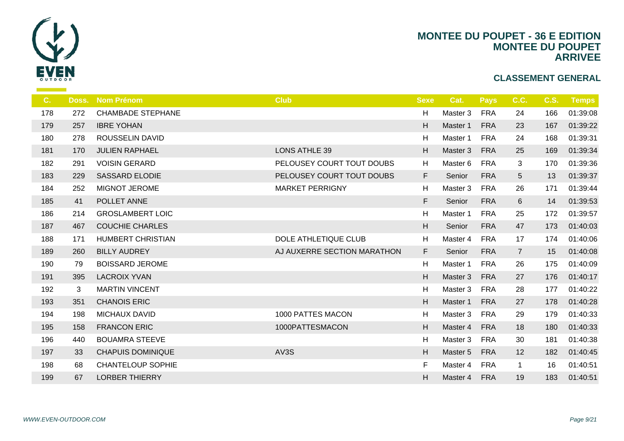

| C <sub>1</sub> | Doss. | <b>Nom Prénom</b>        | <b>Club</b>                 | <b>Sexe</b> |                |
|----------------|-------|--------------------------|-----------------------------|-------------|----------------|
| 178            | 272   | <b>CHAMBADE STEPHANE</b> |                             | H           | Ma             |
| 179            | 257   | <b>IBRE YOHAN</b>        |                             | H           | Ma             |
| 180            | 278   | <b>ROUSSELIN DAVID</b>   |                             | H           | Ma             |
| 181            | 170   | <b>JULIEN RAPHAEL</b>    | <b>LONS ATHLE 39</b>        | H           | Ma             |
| 182            | 291   | <b>VOISIN GERARD</b>     | PELOUSEY COURT TOUT DOUBS   | H           | Ma             |
| 183            | 229   | <b>SASSARD ELODIE</b>    | PELOUSEY COURT TOUT DOUBS   | F.          | S <sub>6</sub> |
| 184            | 252   | <b>MIGNOT JEROME</b>     | <b>MARKET PERRIGNY</b>      | H           | Ma             |
| 185            | 41    | POLLET ANNE              |                             | F           | S <sub>6</sub> |
| 186            | 214   | <b>GROSLAMBERT LOIC</b>  |                             | H           | Ma             |
| 187            | 467   | <b>COUCHIE CHARLES</b>   |                             | H           | S <sub>6</sub> |
| 188            | 171   | <b>HUMBERT CHRISTIAN</b> | DOLE ATHLETIQUE CLUB        | H           | Ma             |
| 189            | 260   | <b>BILLY AUDREY</b>      | AJ AUXERRE SECTION MARATHON | F.          | S <sub>6</sub> |
| 190            | 79    | <b>BOISSARD JEROME</b>   |                             | H           | Ma             |
| 191            | 395   | <b>LACROIX YVAN</b>      |                             | H           | Ma             |
| 192            | 3     | <b>MARTIN VINCENT</b>    |                             | H           | Ma             |
| 193            | 351   | <b>CHANOIS ERIC</b>      |                             | H           | Ma             |
| 194            | 198   | <b>MICHAUX DAVID</b>     | 1000 PATTES MACON           | H           | Ma             |
| 195            | 158   | <b>FRANCON ERIC</b>      | 1000PATTESMACON             | H           | Ma             |
| 196            | 440   | <b>BOUAMRA STEEVE</b>    |                             | H           | Ma             |
| 197            | 33    | <b>CHAPUIS DOMINIQUE</b> | AV3S                        | H           | Ma             |
| 198            | 68    | <b>CHANTELOUP SOPHIE</b> |                             | F.          | Ma             |
| 199            | 67    | <b>LORBER THIERRY</b>    |                             | H.          | Ma             |
|                |       |                          |                             |             |                |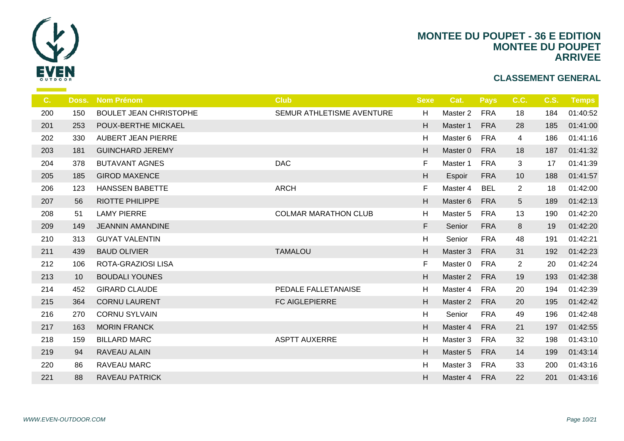

| $C_{\cdot}$ | Doss. | <b>Nom Prénom</b>             | <b>Club</b>                 | <b>Sexe</b> |                |
|-------------|-------|-------------------------------|-----------------------------|-------------|----------------|
| 200         | 150   | <b>BOULET JEAN CHRISTOPHE</b> | SEMUR ATHLETISME AVENTURE   | H           | Ma             |
| 201         | 253   | POUX-BERTHE MICKAEL           |                             | H           | Ma             |
| 202         | 330   | <b>AUBERT JEAN PIERRE</b>     |                             | H           | Ma             |
| 203         | 181   | <b>GUINCHARD JEREMY</b>       |                             | H           | Ma             |
| 204         | 378   | <b>BUTAVANT AGNES</b>         | <b>DAC</b>                  | F           | Ma             |
| 205         | 185   | <b>GIROD MAXENCE</b>          |                             | H           | Es             |
| 206         | 123   | <b>HANSSEN BABETTE</b>        | <b>ARCH</b>                 | F.          | Ma             |
| 207         | 56    | <b>RIOTTE PHILIPPE</b>        |                             | H           | Ma             |
| 208         | 51    | <b>LAMY PIERRE</b>            | <b>COLMAR MARATHON CLUB</b> | H           | Ma             |
| 209         | 149   | <b>JEANNIN AMANDINE</b>       |                             | F           | S <sub>6</sub> |
| 210         | 313   | <b>GUYAT VALENTIN</b>         |                             | H           | $S_6$          |
| 211         | 439   | <b>BAUD OLIVIER</b>           | <b>TAMALOU</b>              | H           | Ma             |
| 212         | 106   | ROTA-GRAZIOSI LISA            |                             | F           | Ma             |
| 213         | 10    | <b>BOUDALI YOUNES</b>         |                             | H           | Ma             |
| 214         | 452   | <b>GIRARD CLAUDE</b>          | PEDALE FALLETANAISE         | H           | Ma             |
| 215         | 364   | <b>CORNU LAURENT</b>          | <b>FC AIGLEPIERRE</b>       | H           | Ma             |
| 216         | 270   | <b>CORNU SYLVAIN</b>          |                             | H           | S <sub>6</sub> |
| 217         | 163   | <b>MORIN FRANCK</b>           |                             | H           | Ma             |
| 218         | 159   | <b>BILLARD MARC</b>           | <b>ASPTT AUXERRE</b>        | H           | Ma             |
| 219         | 94    | RAVEAU ALAIN                  |                             | H           | Ma             |
| 220         | 86    | RAVEAU MARC                   |                             | H           | Ma             |
| 221         | 88    | <b>RAVEAU PATRICK</b>         |                             | H.          | Ma             |
|             |       |                               |                             |             |                |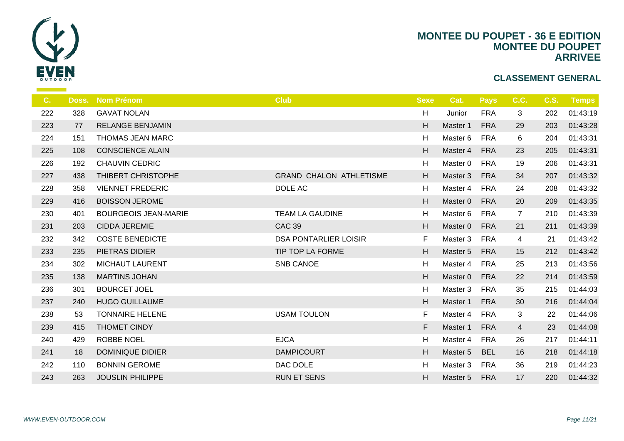

| C.  | Doss. | <b>Nom Prénom</b>           | <b>Club</b>                    | <b>Sexe</b> |    |
|-----|-------|-----------------------------|--------------------------------|-------------|----|
| 222 | 328   | <b>GAVAT NOLAN</b>          |                                | H           | Ju |
| 223 | 77    | <b>RELANGE BENJAMIN</b>     |                                | H           | Ma |
| 224 | 151   | THOMAS JEAN MARC            |                                | H           | Ma |
| 225 | 108   | <b>CONSCIENCE ALAIN</b>     |                                | H           | Ma |
| 226 | 192   | <b>CHAUVIN CEDRIC</b>       |                                | H           | Ma |
| 227 | 438   | THIBERT CHRISTOPHE          | <b>GRAND CHALON ATHLETISME</b> | H           | Ma |
| 228 | 358   | <b>VIENNET FREDERIC</b>     | DOLE AC                        | H           | Ma |
| 229 | 416   | <b>BOISSON JEROME</b>       |                                | H           | Ma |
| 230 | 401   | <b>BOURGEOIS JEAN-MARIE</b> | <b>TEAM LA GAUDINE</b>         | H           | Ma |
| 231 | 203   | <b>CIDDA JEREMIE</b>        | <b>CAC 39</b>                  | H           | Ma |
| 232 | 342   | <b>COSTE BENEDICTE</b>      | <b>DSA PONTARLIER LOISIR</b>   | F.          | Ma |
| 233 | 235   | PIETRAS DIDIER              | TIP TOP LA FORME               | H           | Ma |
| 234 | 302   | <b>MICHAUT LAURENT</b>      | <b>SNB CANOE</b>               | H           | Ma |
| 235 | 138   | <b>MARTINS JOHAN</b>        |                                | H           | Ma |
| 236 | 301   | <b>BOURCET JOEL</b>         |                                | H           | Ma |
| 237 | 240   | <b>HUGO GUILLAUME</b>       |                                | H           | Ma |
| 238 | 53    | <b>TONNAIRE HELENE</b>      | <b>USAM TOULON</b>             | F.          | Ma |
| 239 | 415   | THOMET CINDY                |                                | F           | Ma |
| 240 | 429   | <b>ROBBE NOEL</b>           | <b>EJCA</b>                    | H           | Ma |
| 241 | 18    | <b>DOMINIQUE DIDIER</b>     | <b>DAMPICOURT</b>              | H           | Ma |
| 242 | 110   | <b>BONNIN GEROME</b>        | DAC DOLE                       | H           | Ma |
| 243 | 263   | <b>JOUSLIN PHILIPPE</b>     | <b>RUN ET SENS</b>             | H           | Ma |
|     |       |                             |                                |             |    |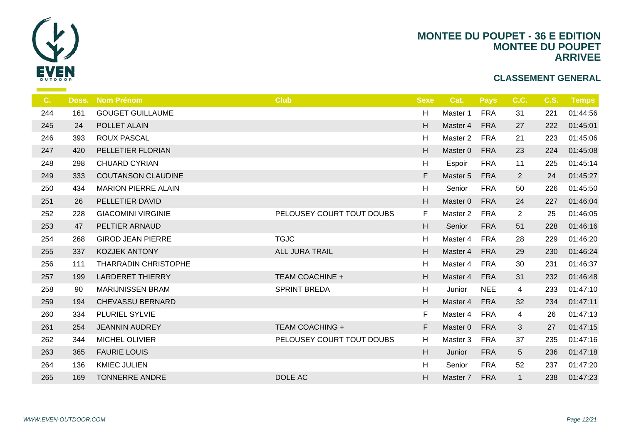

| C.  | Doss. | <b>Nom Prénom</b>           | <b>Club</b>               | <b>Sexe</b>               |                |
|-----|-------|-----------------------------|---------------------------|---------------------------|----------------|
| 244 | 161   | <b>GOUGET GUILLAUME</b>     |                           | H                         | Ma             |
| 245 | 24    | POLLET ALAIN                |                           | H                         | Ma             |
| 246 | 393   | <b>ROUX PASCAL</b>          |                           | H                         | Ma             |
| 247 | 420   | PELLETIER FLORIAN           |                           | H                         | Ma             |
| 248 | 298   | <b>CHUARD CYRIAN</b>        |                           | $\boldsymbol{\mathsf{H}}$ | Es             |
| 249 | 333   | <b>COUTANSON CLAUDINE</b>   |                           | F                         | Ma             |
| 250 | 434   | <b>MARION PIERRE ALAIN</b>  |                           | H                         | $S_{\epsilon}$ |
| 251 | 26    | PELLETIER DAVID             |                           | H                         | Ma             |
| 252 | 228   | <b>GIACOMINI VIRGINIE</b>   | PELOUSEY COURT TOUT DOUBS | F                         | Ma             |
| 253 | 47    | PELTIER ARNAUD              |                           | H                         | S <sub>6</sub> |
| 254 | 268   | <b>GIROD JEAN PIERRE</b>    | <b>TGJC</b>               | H                         | Ma             |
| 255 | 337   | <b>KOZJEK ANTONY</b>        | ALL JURA TRAIL            | H                         | Ma             |
| 256 | 111   | <b>THARRADIN CHRISTOPHE</b> |                           | H                         | Ma             |
| 257 | 199   | <b>LARDERET THIERRY</b>     | <b>TEAM COACHINE +</b>    | H                         | Ma             |
| 258 | 90    | <b>MARIJNISSEN BRAM</b>     | <b>SPRINT BREDA</b>       | H                         | Ju             |
| 259 | 194   | <b>CHEVASSU BERNARD</b>     |                           | H                         | Ma             |
| 260 | 334   | PLURIEL SYLVIE              |                           | F.                        | Ma             |
| 261 | 254   | <b>JEANNIN AUDREY</b>       | <b>TEAM COACHING +</b>    | F                         | Ma             |
| 262 | 344   | MICHEL OLIVIER              | PELOUSEY COURT TOUT DOUBS | H                         | Ma             |
| 263 | 365   | <b>FAURIE LOUIS</b>         |                           | H                         | Ju             |
| 264 | 136   | <b>KMIEC JULIEN</b>         |                           | H                         | $S_{\epsilon}$ |
| 265 | 169   | <b>TONNERRE ANDRE</b>       | DOLE AC                   | H                         | Ma             |
|     |       |                             |                           |                           |                |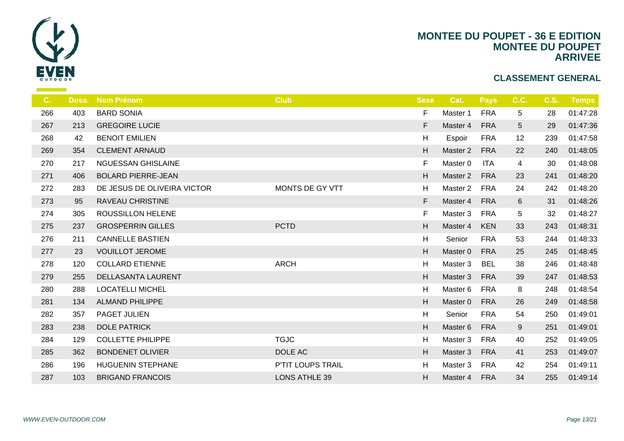

| C.  | Doss. | <b>Nom Prénom</b>           | <b>Club</b>          | <b>Sexe</b>               |    |
|-----|-------|-----------------------------|----------------------|---------------------------|----|
| 266 | 403   | <b>BARD SONIA</b>           |                      | F.                        | Ma |
| 267 | 213   | <b>GREGOIRE LUCIE</b>       |                      | F                         | Ma |
| 268 | 42    | <b>BENOIT EMILIEN</b>       |                      | H                         | Es |
| 269 | 354   | <b>CLEMENT ARNAUD</b>       |                      | H                         | Ma |
| 270 | 217   | <b>NGUESSAN GHISLAINE</b>   |                      | F                         | Ma |
| 271 | 406   | <b>BOLARD PIERRE-JEAN</b>   |                      | $\boldsymbol{\mathsf{H}}$ | Ma |
| 272 | 283   | DE JESUS DE OLIVEIRA VICTOR | MONTS DE GY VTT      | H                         | Ma |
| 273 | 95    | <b>RAVEAU CHRISTINE</b>     |                      | F                         | Ma |
| 274 | 305   | ROUSSILLON HELENE           |                      | F.                        | Ma |
| 275 | 237   | <b>GROSPERRIN GILLES</b>    | <b>PCTD</b>          | H                         | Ma |
| 276 | 211   | <b>CANNELLE BASTIEN</b>     |                      | H                         | S6 |
| 277 | 23    | <b>VOUILLOT JEROME</b>      |                      | H                         | Ma |
| 278 | 120   | <b>COLLARD ETIENNE</b>      | <b>ARCH</b>          | H                         | Ma |
| 279 | 255   | <b>DELLASANTA LAURENT</b>   |                      | H                         | Ma |
| 280 | 288   | <b>LOCATELLI MICHEL</b>     |                      | H                         | Ma |
| 281 | 134   | <b>ALMAND PHILIPPE</b>      |                      | H                         | Ma |
| 282 | 357   | PAGET JULIEN                |                      | H                         | S6 |
| 283 | 238   | <b>DOLE PATRICK</b>         |                      | H                         | Ma |
| 284 | 129   | <b>COLLETTE PHILIPPE</b>    | <b>TGJC</b>          | H                         | Ma |
| 285 | 362   | <b>BONDENET OLIVIER</b>     | DOLE AC              | H                         | Ma |
| 286 | 196   | <b>HUGUENIN STEPHANE</b>    | P'TIT LOUPS TRAIL    | H                         | Ma |
| 287 | 103   | <b>BRIGAND FRANCOIS</b>     | <b>LONS ATHLE 39</b> | H                         | Ma |
|     |       |                             |                      |                           |    |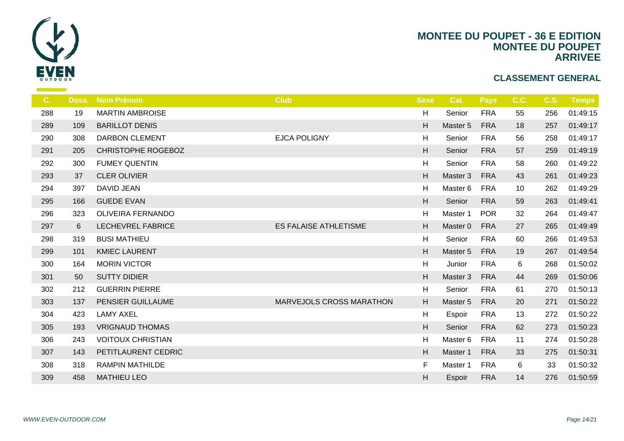

| C.  | Doss. | <b>Nom Prénom</b>        | <b>Club</b>                  | <b>Sexe</b>               |                |
|-----|-------|--------------------------|------------------------------|---------------------------|----------------|
| 288 | 19    | <b>MARTIN AMBROISE</b>   |                              | H                         | $S\epsilon$    |
| 289 | 109   | <b>BARILLOT DENIS</b>    |                              | H                         | Ma             |
| 290 | 308   | <b>DARBON CLEMENT</b>    | <b>EJCA POLIGNY</b>          | H                         | S <sub>6</sub> |
| 291 | 205   | CHRISTOPHE ROGEBOZ       |                              | H.                        | S <sub>6</sub> |
| 292 | 300   | <b>FUMEY QUENTIN</b>     |                              | H                         | S <sub>6</sub> |
| 293 | 37    | <b>CLER OLIVIER</b>      |                              | H                         | Ma             |
| 294 | 397   | DAVID JEAN               |                              | H                         | Ma             |
| 295 | 166   | <b>GUEDE EVAN</b>        |                              | $\boldsymbol{\mathsf{H}}$ | S <sub>6</sub> |
| 296 | 323   | OLIVEIRA FERNANDO        |                              | H                         | Ma             |
| 297 | 6     | LECHEVREL FABRICE        | <b>ES FALAISE ATHLETISME</b> | H.                        | Ma             |
| 298 | 319   | <b>BUSI MATHIEU</b>      |                              | H                         | S6             |
| 299 | 101   | <b>KMIEC LAURENT</b>     |                              | H                         | Ma             |
| 300 | 164   | <b>MORIN VICTOR</b>      |                              | H                         | Ju             |
| 301 | 50    | <b>SUTTY DIDIER</b>      |                              | H.                        | Ma             |
| 302 | 212   | <b>GUERRIN PIERRE</b>    |                              | H                         | S6             |
| 303 | 137   | PENSIER GUILLAUME        | MARVEJOLS CROSS MARATHON     | H                         | Ma             |
| 304 | 423   | <b>LAMY AXEL</b>         |                              | H                         | Es             |
| 305 | 193   | <b>VRIGNAUD THOMAS</b>   |                              | H                         | S <sub>6</sub> |
| 306 | 243   | <b>VOITOUX CHRISTIAN</b> |                              | H                         | Ma             |
| 307 | 143   | PETITLAURENT CEDRIC      |                              | H                         | Ma             |
| 308 | 318   | <b>RAMPIN MATHILDE</b>   |                              | F                         | Ma             |
| 309 | 458   | <b>MATHIEU LEO</b>       |                              | H                         | Es             |
|     |       |                          |                              |                           |                |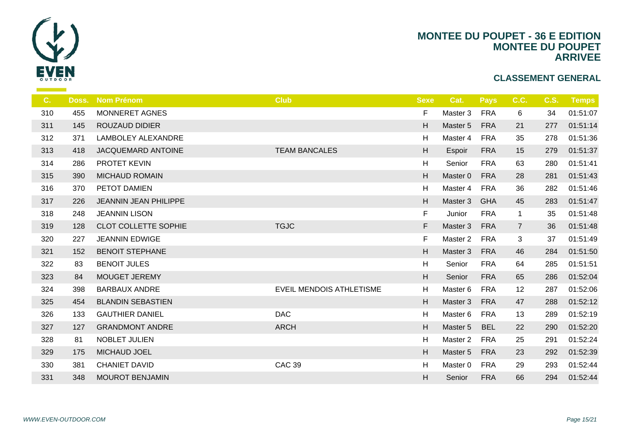

| $C_{1}$ | Doss. | Nom Prénom                   | <b>Club</b>                     | <b>Sexe</b>               | <b>C</b>       |
|---------|-------|------------------------------|---------------------------------|---------------------------|----------------|
| 310     | 455   | MONNERET AGNES               |                                 | F                         | Ma             |
| 311     | 145   | <b>ROUZAUD DIDIER</b>        |                                 | H                         | Ma             |
| 312     | 371   | LAMBOLEY ALEXANDRE           |                                 | $\mathsf H$               | Ma             |
| 313     | 418   | JACQUEMARD ANTOINE           | <b>TEAM BANCALES</b>            | H                         | Es             |
| 314     | 286   | <b>PROTET KEVIN</b>          |                                 | H                         | $S_{\epsilon}$ |
| 315     | 390   | <b>MICHAUD ROMAIN</b>        |                                 | H                         | Ma             |
| 316     | 370   | PETOT DAMIEN                 |                                 | H                         | Ma             |
| 317     | 226   | <b>JEANNIN JEAN PHILIPPE</b> |                                 | H                         | Ma             |
| 318     | 248   | <b>JEANNIN LISON</b>         |                                 | F                         | Ju             |
| 319     | 128   | <b>CLOT COLLETTE SOPHIE</b>  | <b>TGJC</b>                     | F                         | Ma             |
| 320     | 227   | <b>JEANNIN EDWIGE</b>        |                                 | F                         | Ma             |
| 321     | 152   | <b>BENOIT STEPHANE</b>       |                                 | H                         | Ma             |
| 322     | 83    | <b>BENOIT JULES</b>          |                                 | H                         | $S_{\epsilon}$ |
| 323     | 84    | MOUGET JEREMY                |                                 | $\boldsymbol{\mathsf{H}}$ | S <sub>6</sub> |
| 324     | 398   | <b>BARBAUX ANDRE</b>         | <b>EVEIL MENDOIS ATHLETISME</b> | H                         | Ma             |
| 325     | 454   | <b>BLANDIN SEBASTIEN</b>     |                                 | H                         | Ma             |
| 326     | 133   | <b>GAUTHIER DANIEL</b>       | <b>DAC</b>                      | H                         | Ma             |
| 327     | 127   | <b>GRANDMONT ANDRE</b>       | <b>ARCH</b>                     | $\boldsymbol{\mathsf{H}}$ | Ma             |
| 328     | 81    | NOBLET JULIEN                |                                 | H                         | Ma             |
| 329     | 175   | MICHAUD JOEL                 |                                 | H                         | Ma             |
| 330     | 381   | <b>CHANIET DAVID</b>         | <b>CAC 39</b>                   | H                         | Ma             |
| 331     | 348   | <b>MOUROT BENJAMIN</b>       |                                 | H                         | S <sub>6</sub> |
|         |       |                              |                                 |                           |                |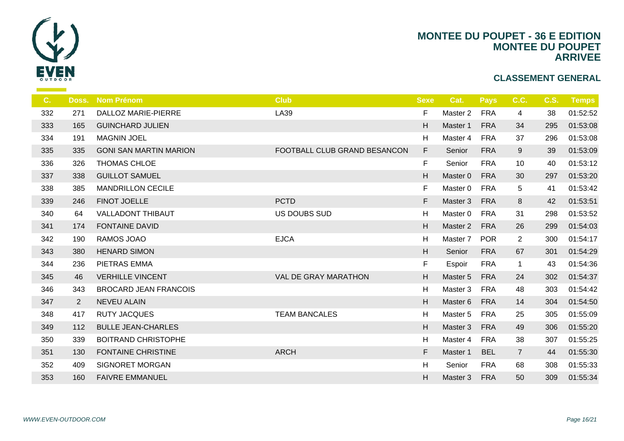

| C.  | Doss.       | <b>Nom Prénom</b>             | <b>Club</b>                  | <b>Sexe</b> | -C             |
|-----|-------------|-------------------------------|------------------------------|-------------|----------------|
| 332 | 271         | <b>DALLOZ MARIE-PIERRE</b>    | LA39                         | F.          | Ma             |
| 333 | 165         | <b>GUINCHARD JULIEN</b>       |                              | H           | Ma             |
| 334 | 191         | <b>MAGNIN JOEL</b>            |                              | H           | Ma             |
| 335 | 335         | <b>GONI SAN MARTIN MARION</b> | FOOTBALL CLUB GRAND BESANCON | F           | S <sub>d</sub> |
| 336 | 326         | <b>THOMAS CHLOE</b>           |                              | F           | S <sub>d</sub> |
| 337 | 338         | <b>GUILLOT SAMUEL</b>         |                              | H           | Ma             |
| 338 | 385         | <b>MANDRILLON CECILE</b>      |                              | F           | Ma             |
| 339 | 246         | FINOT JOELLE                  | <b>PCTD</b>                  | F           | Ma             |
| 340 | 64          | <b>VALLADONT THIBAUT</b>      | <b>US DOUBS SUD</b>          | H           | Ma             |
| 341 | 174         | <b>FONTAINE DAVID</b>         |                              | H           | Ma             |
| 342 | 190         | RAMOS JOAO                    | <b>EJCA</b>                  | H           | Ma             |
| 343 | 380         | <b>HENARD SIMON</b>           |                              | H.          | S <sub>6</sub> |
| 344 | 236         | PIETRAS EMMA                  |                              | F           | Es             |
| 345 | 46          | <b>VERHILLE VINCENT</b>       | <b>VAL DE GRAY MARATHON</b>  | H           | Ma             |
| 346 | 343         | <b>BROCARD JEAN FRANCOIS</b>  |                              | H           | Ma             |
| 347 | $2^{\circ}$ | <b>NEVEU ALAIN</b>            |                              | H           | Ma             |
| 348 | 417         | <b>RUTY JACQUES</b>           | <b>TEAM BANCALES</b>         | H           | Ma             |
| 349 | 112         | <b>BULLE JEAN-CHARLES</b>     |                              | H           | Ma             |
| 350 | 339         | <b>BOITRAND CHRISTOPHE</b>    |                              | H           | Ma             |
| 351 | 130         | <b>FONTAINE CHRISTINE</b>     | <b>ARCH</b>                  | F.          | Mas            |
| 352 | 409         | <b>SIGNORET MORGAN</b>        |                              | H           | Se             |
| 353 | 160         | <b>FAIVRE EMMANUEL</b>        |                              | H           | Ma             |
|     |             |                               |                              |             |                |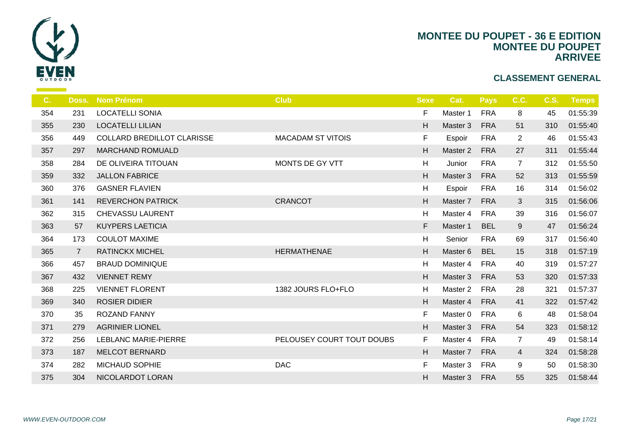

| C.  | Doss.          | <b>Nom Prénom</b>                 | <b>Club</b>               | <b>Sexe</b> | -C             |
|-----|----------------|-----------------------------------|---------------------------|-------------|----------------|
| 354 | 231            | <b>LOCATELLI SONIA</b>            |                           | F.          | Ma             |
| 355 | 230            | <b>LOCATELLI LILIAN</b>           |                           | H           | Ma:            |
| 356 | 449            | <b>COLLARD BREDILLOT CLARISSE</b> | <b>MACADAM ST VITOIS</b>  | F           | Es             |
| 357 | 297            | <b>MARCHAND ROMUALD</b>           |                           | H           | Ma             |
| 358 | 284            | DE OLIVEIRA TITOUAN               | MONTS DE GY VTT           | H           | Ju             |
| 359 | 332            | <b>JALLON FABRICE</b>             |                           | H           | Mas            |
| 360 | 376            | <b>GASNER FLAVIEN</b>             |                           | H           | Es             |
| 361 | 141            | <b>REVERCHON PATRICK</b>          | <b>CRANCOT</b>            | H           | Mas            |
| 362 | 315            | <b>CHEVASSU LAURENT</b>           |                           | H           | Ma             |
| 363 | 57             | <b>KUYPERS LAETICIA</b>           |                           | F           | Mas            |
| 364 | 173            | <b>COULOT MAXIME</b>              |                           | H           | S <sub>d</sub> |
| 365 | $\overline{7}$ | <b>RATINCKX MICHEL</b>            | <b>HERMATHENAE</b>        | H           | Mas            |
| 366 | 457            | <b>BRAUD DOMINIQUE</b>            |                           | H           | Ma             |
| 367 | 432            | <b>VIENNET REMY</b>               |                           | $\mathsf H$ | Mas            |
| 368 | 225            | <b>VIENNET FLORENT</b>            | 1382 JOURS FLO+FLO        | H           | Ma             |
| 369 | 340            | <b>ROSIER DIDIER</b>              |                           | H           | Ma:            |
| 370 | 35             | ROZAND FANNY                      |                           | F.          | Ma             |
| 371 | 279            | <b>AGRINIER LIONEL</b>            |                           | H           | Ma:            |
| 372 | 256            | <b>LEBLANC MARIE-PIERRE</b>       | PELOUSEY COURT TOUT DOUBS | F.          | Ma             |
| 373 | 187            | <b>MELCOT BERNARD</b>             |                           | H           | Mas            |
| 374 | 282            | <b>MICHAUD SOPHIE</b>             | <b>DAC</b>                | F.          | Ma             |
| 375 | 304            | NICOLARDOT LORAN                  |                           | H.          | Ma             |
|     |                |                                   |                           |             |                |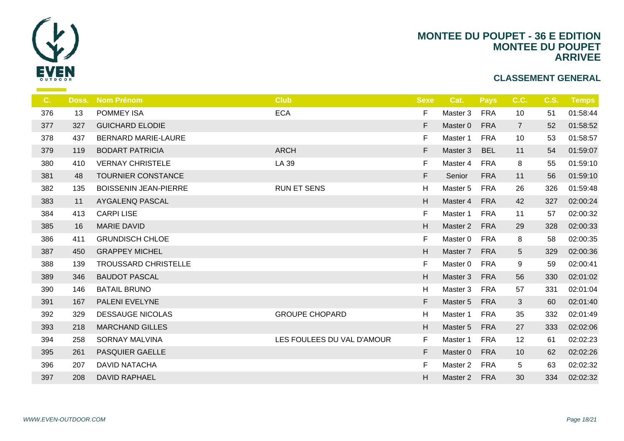

| C.  | Doss. | <b>Nom Prénom</b>            | <b>Club</b>                | <b>Sexe</b> |                |
|-----|-------|------------------------------|----------------------------|-------------|----------------|
| 376 | 13    | <b>POMMEY ISA</b>            | <b>ECA</b>                 | F.          | Ma             |
| 377 | 327   | <b>GUICHARD ELODIE</b>       |                            | F           | Ma             |
| 378 | 437   | <b>BERNARD MARIE-LAURE</b>   |                            | F.          | Ma             |
| 379 | 119   | <b>BODART PATRICIA</b>       | <b>ARCH</b>                | F           | Ma             |
| 380 | 410   | <b>VERNAY CHRISTELE</b>      | LA 39                      | F.          | Ma             |
| 381 | 48    | TOURNIER CONSTANCE           |                            | F           | S <sub>6</sub> |
| 382 | 135   | <b>BOISSENIN JEAN-PIERRE</b> | <b>RUN ET SENS</b>         | H           | Ma             |
| 383 | 11    | AYGALENQ PASCAL              |                            | H           | Ma             |
| 384 | 413   | <b>CARPILISE</b>             |                            | F.          | Ma             |
| 385 | 16    | <b>MARIE DAVID</b>           |                            | H           | Ma             |
| 386 | 411   | <b>GRUNDISCH CHLOE</b>       |                            | F.          | Ma             |
| 387 | 450   | <b>GRAPPEY MICHEL</b>        |                            | H           | Ma             |
| 388 | 139   | <b>TROUSSARD CHRISTELLE</b>  |                            | F.          | Ma             |
| 389 | 346   | <b>BAUDOT PASCAL</b>         |                            | H           | Ma             |
| 390 | 146   | <b>BATAIL BRUNO</b>          |                            | H           | Ma             |
| 391 | 167   | PALENI EVELYNE               |                            | F           | Ma             |
| 392 | 329   | <b>DESSAUGE NICOLAS</b>      | <b>GROUPE CHOPARD</b>      | H           | Ma             |
| 393 | 218   | <b>MARCHAND GILLES</b>       |                            | H           | Ma             |
| 394 | 258   | <b>SORNAY MALVINA</b>        | LES FOULEES DU VAL D'AMOUR | F.          | Ma             |
| 395 | 261   | <b>PASQUIER GAELLE</b>       |                            | F           | Ma             |
| 396 | 207   | <b>DAVID NATACHA</b>         |                            | F.          | Ma             |
| 397 | 208   | <b>DAVID RAPHAEL</b>         |                            | H           | Ma             |
|     |       |                              |                            |             |                |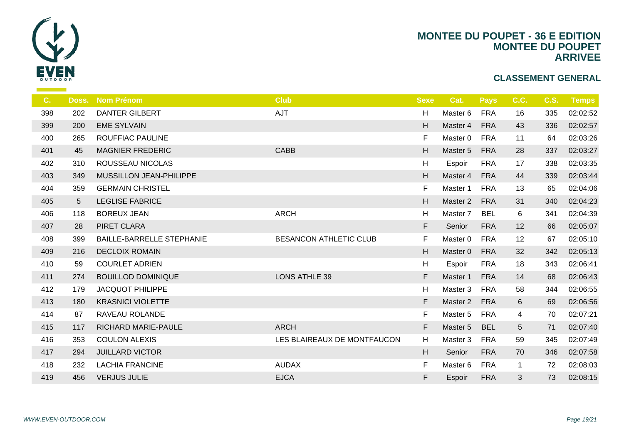

| $C_{1}$ | Doss.          | <b>Nom Prénom</b>                | <b>Club</b>                 | <b>Sexe</b>               | <b>C</b>       |
|---------|----------------|----------------------------------|-----------------------------|---------------------------|----------------|
| 398     | 202            | <b>DANTER GILBERT</b>            | AJT                         | H                         | Ma             |
| 399     | 200            | <b>EME SYLVAIN</b>               |                             | H                         | Ma             |
| 400     | 265            | ROUFFIAC PAULINE                 |                             | F.                        | Ma             |
| 401     | 45             | <b>MAGNIER FREDERIC</b>          | <b>CABB</b>                 | H                         | Ma             |
| 402     | 310            | ROUSSEAU NICOLAS                 |                             | H                         | Es             |
| 403     | 349            | MUSSILLON JEAN-PHILIPPE          |                             | H                         | Ma             |
| 404     | 359            | <b>GERMAIN CHRISTEL</b>          |                             | F.                        | Ma             |
| 405     | 5 <sup>5</sup> | <b>LEGLISE FABRICE</b>           |                             | H                         | Ma             |
| 406     | 118            | <b>BOREUX JEAN</b>               | <b>ARCH</b>                 | H                         | Ma             |
| 407     | 28             | PIRET CLARA                      |                             | F                         | S <sub>6</sub> |
| 408     | 399            | <b>BAILLE-BARRELLE STEPHANIE</b> | BESANCON ATHLETIC CLUB      | F                         | Ma             |
| 409     | 216            | <b>DECLOIX ROMAIN</b>            |                             | H                         | Ma             |
| 410     | 59             | <b>COURLET ADRIEN</b>            |                             | H                         | Es             |
| 411     | 274            | <b>BOUILLOD DOMINIQUE</b>        | <b>LONS ATHLE 39</b>        | F                         | Ma             |
| 412     | 179            | <b>JACQUOT PHILIPPE</b>          |                             | H                         | Ma             |
| 413     | 180            | <b>KRASNICI VIOLETTE</b>         |                             | F                         | Ma             |
| 414     | 87             | RAVEAU ROLANDE                   |                             | F                         | Ma             |
| 415     | 117            | RICHARD MARIE-PAULE              | <b>ARCH</b>                 | F                         | Ma             |
| 416     | 353            | <b>COULON ALEXIS</b>             | LES BLAIREAUX DE MONTFAUCON | H                         | Ma             |
| 417     | 294            | <b>JUILLARD VICTOR</b>           |                             | $\boldsymbol{\mathsf{H}}$ | S <sub>6</sub> |
| 418     | 232            | <b>LACHIA FRANCINE</b>           | <b>AUDAX</b>                | F                         | Ma             |
| 419     | 456            | <b>VERJUS JULIE</b>              | <b>EJCA</b>                 | F                         | Es             |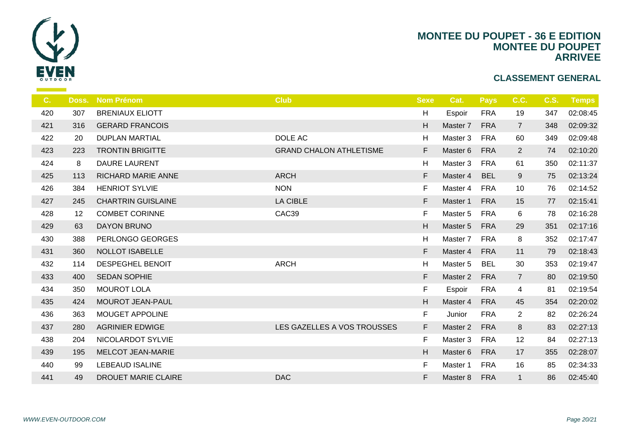

| Doss. | <b>Nom Prénom</b>         | <b>Club</b>                    | <b>Sexe</b> |     |
|-------|---------------------------|--------------------------------|-------------|-----|
| 307   | <b>BRENIAUX ELIOTT</b>    |                                | Н           | Es  |
| 316   | <b>GERARD FRANCOIS</b>    |                                | H           | Ma  |
| 20    | <b>DUPLAN MARTIAL</b>     | DOLE AC                        | H           | Ma  |
| 223   | <b>TRONTIN BRIGITTE</b>   | <b>GRAND CHALON ATHLETISME</b> | F.          | Ma  |
| 8     | <b>DAURE LAURENT</b>      |                                | H           | Ma  |
| 113   | <b>RICHARD MARIE ANNE</b> | <b>ARCH</b>                    | F           | Ma  |
| 384   | <b>HENRIOT SYLVIE</b>     | <b>NON</b>                     | F.          | Ma  |
| 245   | <b>CHARTRIN GUISLAINE</b> | <b>LA CIBLE</b>                | F           | Ma  |
| 12    | <b>COMBET CORINNE</b>     | CAC39                          | F.          | Ma  |
| 63    | DAYON BRUNO               |                                | H           | Ma  |
| 388   | PERLONGO GEORGES          |                                | H           | Ma  |
| 360   | NOLLOT ISABELLE           |                                | F           | Ma  |
| 114   | <b>DESPEGHEL BENOIT</b>   | <b>ARCH</b>                    | H           | Ma  |
| 400   | <b>SEDAN SOPHIE</b>       |                                | F           | Ma  |
| 350   | <b>MOUROT LOLA</b>        |                                | F           | Es  |
| 424   | MOUROT JEAN-PAUL          |                                | H           | Ma  |
| 363   | MOUGET APPOLINE           |                                | F.          | Ju  |
| 280   | <b>AGRINIER EDWIGE</b>    | LES GAZELLES A VOS TROUSSES    | F.          | Ma: |
| 204   | NICOLARDOT SYLVIE         |                                | F.          | Ma  |
| 195   | MELCOT JEAN-MARIE         |                                | H           | Ma  |
| 99    | <b>LEBEAUD ISALINE</b>    |                                | F.          | Ma  |
| 49    | DROUET MARIE CLAIRE       | <b>DAC</b>                     | F           | Ma  |
|       |                           |                                |             |     |